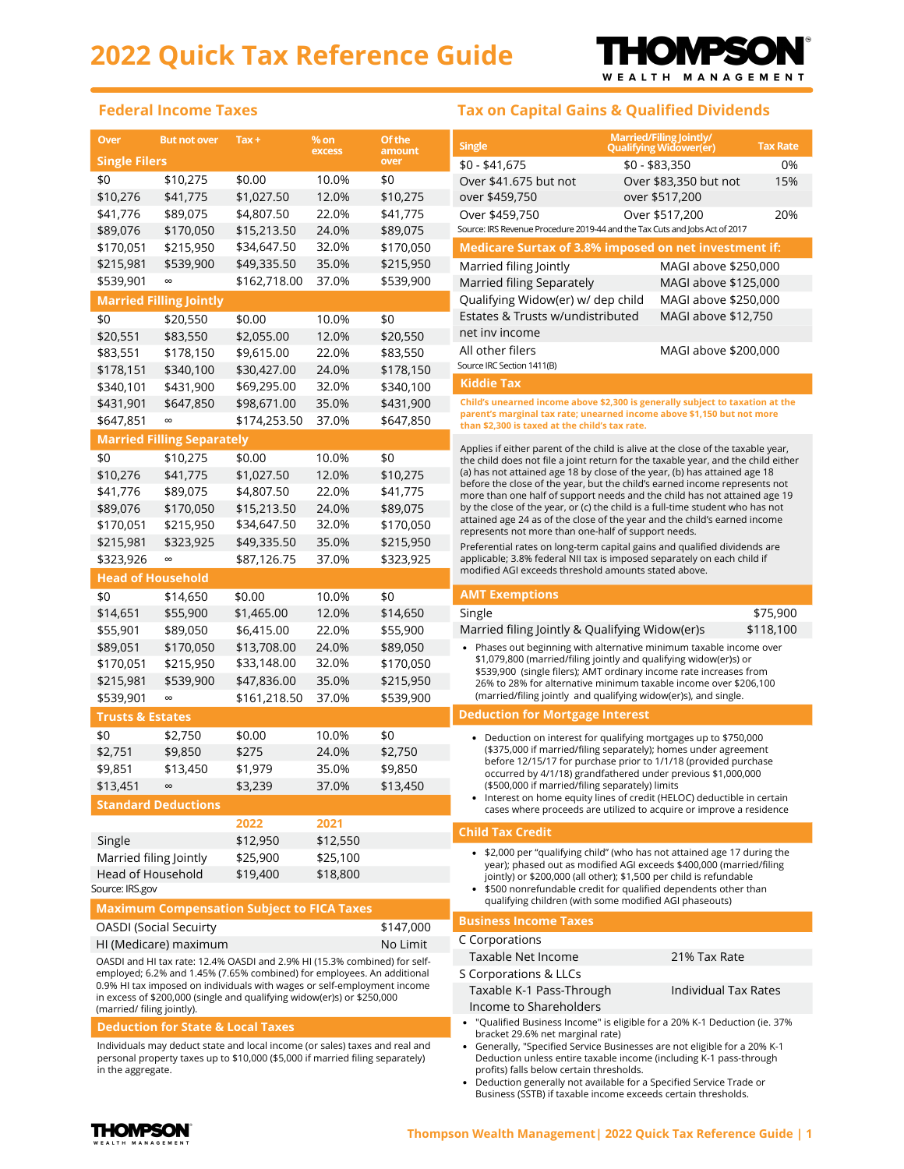

#### **Federal Income Taxes Tax on Capital Gains & Qualified Dividends**

| <b>Single Filers</b><br>over<br>$$0 - $41,675$<br>0%<br>$$0 - $83,350$<br>\$10,275<br>\$0.00<br>\$0<br>10.0%<br>\$0<br>Over \$41.675 but not<br>15%<br>Over \$83,350 but not<br>\$10,276<br>\$41,775<br>\$1,027.50<br>12.0%<br>\$10,275<br>over \$459,750<br>over \$517,200<br>\$41,776<br>22.0%<br>\$89,075<br>\$4,807.50<br>\$41,775<br>Over \$459,750<br>Over \$517,200<br>20%<br>Source: IRS Revenue Procedure 2019-44 and the Tax Cuts and Jobs Act of 2017<br>\$170,050<br>24.0%<br>\$89,075<br>\$89,076<br>\$15,213.50<br>\$170,051<br>\$215,950<br>\$34,647.50<br>32.0%<br>\$170,050<br>Medicare Surtax of 3.8% imposed on net investment if:<br>35.0%<br>\$215,950<br>\$215,981<br>\$539,900<br>\$49,335.50<br>Married filing Jointly<br>MAGI above \$250,000<br>\$539,901<br>\$162,718.00<br>37.0%<br>\$539,900<br>$\infty$<br>Married filing Separately<br>MAGI above \$125,000<br>Qualifying Widow(er) w/ dep child<br>MAGI above \$250,000<br><b>Married Filling Jointly</b><br>Estates & Trusts w/undistributed<br>MAGI above \$12,750<br>\$0<br>\$0<br>\$20,550<br>\$0.00<br>10.0%<br>net inv income<br>\$20,551<br>\$83,550<br>\$2,055.00<br>12.0%<br>\$20,550<br>All other filers<br>MAGI above \$200,000<br>\$83,551<br>\$178,150<br>22.0%<br>\$83,550<br>\$9,615.00<br>Source IRC Section 1411(B)<br>\$178,150<br>\$178,151<br>\$340,100<br>24.0%<br>\$30,427.00<br><b>Kiddie Tax</b><br>32.0%<br>\$340,101<br>\$431,900<br>\$69,295.00<br>\$340,100<br>Child's unearned income above \$2,300 is generally subject to taxation at the<br>\$431,901<br>35.0%<br>\$431,900<br>\$647,850<br>\$98,671.00<br>parent's marginal tax rate; unearned income above \$1,150 but not more<br>\$647,851<br>\$174,253.50<br>37.0%<br>\$647,850<br>$\infty$<br>than \$2,300 is taxed at the child's tax rate.<br><b>Married Filling Separately</b><br>Applies if either parent of the child is alive at the close of the taxable year,<br>\$0<br>\$10,275<br>\$0.00<br>10.0%<br>\$0<br>the child does not file a joint return for the taxable year, and the child either<br>(a) has not attained age 18 by close of the year, (b) has attained age 18<br>\$41,775<br>\$10,276<br>\$1,027.50<br>12.0%<br>\$10,275<br>before the close of the year, but the child's earned income represents not<br>\$41,776<br>\$89,075<br>\$4,807.50<br>22.0%<br>\$41,775<br>more than one half of support needs and the child has not attained age 19<br>\$89,076<br>\$170,050<br>\$15,213.50<br>24.0%<br>\$89,075<br>by the close of the year, or (c) the child is a full-time student who has not<br>attained age 24 as of the close of the year and the child's earned income<br>\$34,647.50<br>32.0%<br>\$170,051<br>\$215,950<br>\$170,050<br>represents not more than one-half of support needs.<br>\$215,981<br>\$49,335.50<br>35.0%<br>\$215,950<br>\$323,925<br>Preferential rates on long-term capital gains and qualified dividends are<br>\$323,926<br>\$87,126.75<br>37.0%<br>\$323,925<br>applicable; 3.8% federal NII tax is imposed separately on each child if<br>$\infty$<br>modified AGI exceeds threshold amounts stated above.<br><b>Head of Household</b><br><b>AMT Exemptions</b><br>\$0<br>\$14,650<br>\$0.00<br>\$0<br>10.0%<br>Single<br>\$75,900<br>\$14,651<br>\$55,900<br>\$1,465.00<br>12.0%<br>\$14,650<br>\$118,100<br>Married filing Jointly & Qualifying Widow(er)s<br>\$55,901<br>\$89,050<br>\$6,415.00<br>22.0%<br>\$55,900<br>\$89,051<br>\$170,050<br>24.0%<br>\$89,050<br>\$13,708.00<br>• Phases out beginning with alternative minimum taxable income over<br>\$1,079,800 (married/filing jointly and qualifying widow(er)s) or<br>\$170,051<br>\$215,950<br>\$33,148.00<br>32.0%<br>\$170,050<br>\$539,900 (single filers); AMT ordinary income rate increases from<br>\$215,981<br>\$539,900<br>\$47,836.00<br>35.0%<br>\$215,950<br>26% to 28% for alternative minimum taxable income over \$206,100<br>(married/filing jointly and qualifying widow(er)s), and single.<br>\$161,218.50<br>37.0%<br>\$539,900<br>\$539,901<br>${}^{\infty}$<br><b>Deduction for Mortgage Interest</b><br><b>Trusts &amp; Estates</b><br>\$0<br>\$0<br>\$2,750<br>\$0.00<br>10.0%<br>• Deduction on interest for qualifying mortgages up to \$750,000<br>(\$375,000 if married/filing separately); homes under agreement<br>\$9,850<br>\$275<br>24.0%<br>\$2,750<br>\$2,751<br>before 12/15/17 for purchase prior to 1/1/18 (provided purchase<br>\$9,851<br>\$13,450<br>\$1,979<br>35.0%<br>\$9,850<br>occurred by 4/1/18) grandfathered under previous \$1,000,000<br>\$13,450<br>\$13,451<br>\$3,239<br>37.0%<br>(\$500,000 if married/filing separately) limits<br>$\infty$<br>• Interest on home equity lines of credit (HELOC) deductible in certain<br><b>Standard Deductions</b><br>cases where proceeds are utilized to acquire or improve a residence<br>2022<br>2021<br><b>Child Tax Credit</b><br>\$12,950<br>\$12,550<br>Single<br>• \$2,000 per "qualifying child" (who has not attained age 17 during the<br>Married filing Jointly<br>\$25,900<br>\$25,100<br>year); phased out as modified AGI exceeds \$400,000 (married/filing<br>Head of Household<br>\$19,400<br>\$18,800<br>jointly) or \$200,000 (all other); \$1,500 per child is refundable<br>Source: IRS.gov<br>• \$500 nonrefundable credit for qualified dependents other than<br>qualifying children (with some modified AGI phaseouts)<br><b>Maximum Compensation Subject to FICA Taxes</b><br><b>Business Income Taxes</b><br>\$147,000<br>C Corporations<br>No Limit<br>Hl (Medicare) maximum<br>Taxable Net Income<br>21% Tax Rate<br>OASDI and HI tax rate: 12.4% OASDI and 2.9% HI (15.3% combined) for self-<br>employed; 6.2% and 1.45% (7.65% combined) for employees. An additional<br>S Corporations & LLCs<br>0.9% HI tax imposed on individuals with wages or self-employment income<br>Taxable K-1 Pass-Through<br>Individual Tax Rates<br>Income to Shareholders | Over<br>$%$ on<br><b>But not over</b><br>$Tax +$<br>excess             |  | <b>Of the</b><br>amount | <b>Married/Filing Jointly/</b><br><b>Single</b><br><b>Tax Rate</b><br><b>Qualifying Widower(er)</b> |  |                                                                                                                                                                                                                                                                   |  |  |  |  |  |
|---------------------------------------------------------------------------------------------------------------------------------------------------------------------------------------------------------------------------------------------------------------------------------------------------------------------------------------------------------------------------------------------------------------------------------------------------------------------------------------------------------------------------------------------------------------------------------------------------------------------------------------------------------------------------------------------------------------------------------------------------------------------------------------------------------------------------------------------------------------------------------------------------------------------------------------------------------------------------------------------------------------------------------------------------------------------------------------------------------------------------------------------------------------------------------------------------------------------------------------------------------------------------------------------------------------------------------------------------------------------------------------------------------------------------------------------------------------------------------------------------------------------------------------------------------------------------------------------------------------------------------------------------------------------------------------------------------------------------------------------------------------------------------------------------------------------------------------------------------------------------------------------------------------------------------------------------------------------------------------------------------------------------------------------------------------------------------------------------------------------------------------------------------------------------------------------------------------------------------------------------------------------------------------------------------------------------------------------------------------------------------------------------------------------------------------------------------------------------------------------------------------------------------------------------------------------------------------------------------------------------------------------------------------------------------------------------------------------------------------------------------------------------------------------------------------------------------------------------------------------------------------------------------------------------------------------------------------------------------------------------------------------------------------------------------------------------------------------------------------------------------------------------------------------------------------------------------------------------------------------------------------------------------------------------------------------------------------------------------------------------------------------------------------------------------------------------------------------------------------------------------------------------------------------------------------------------------------------------------------------------------------------------------------------------------------------------------------------------------------------------------------------------------------------------------------------------------------------------------------------------------------------------------------------------------------------------------------------------------------------------------------------------------------------------------------------------------------------------------------------------------------------------------------------------------------------------------------------------------------------------------------------------------------------------------------------------------------------------------------------------------------------------------------------------------------------------------------------------------------------------------------------------------------------------------------------------------------------------------------------------------------------------------------------------------------------------------------------------------------------------------------------------------------------------------------------------------------------------------------------------------------------------------------------------------------------------------------------------------------------------------------------------------------------------------------------------------------------------------------------------------------------------------------------------------------------------------------------------------------------------------------------------------------------------------------------------------------------------------------------------------------------------------------------------------------------------------------------------------------------------------------------------------------------------------------------------------------------------------------------------------------------------------------------------------------------------------------------------------------------------------------------------------------------------------------------------------------------------------------------------------------------------------------------------------------------------------------------------------|------------------------------------------------------------------------|--|-------------------------|-----------------------------------------------------------------------------------------------------|--|-------------------------------------------------------------------------------------------------------------------------------------------------------------------------------------------------------------------------------------------------------------------|--|--|--|--|--|
|                                                                                                                                                                                                                                                                                                                                                                                                                                                                                                                                                                                                                                                                                                                                                                                                                                                                                                                                                                                                                                                                                                                                                                                                                                                                                                                                                                                                                                                                                                                                                                                                                                                                                                                                                                                                                                                                                                                                                                                                                                                                                                                                                                                                                                                                                                                                                                                                                                                                                                                                                                                                                                                                                                                                                                                                                                                                                                                                                                                                                                                                                                                                                                                                                                                                                                                                                                                                                                                                                                                                                                                                                                                                                                                                                                                                                                                                                                                                                                                                                                                                                                                                                                                                                                                                                                                                                                                                                                                                                                                                                                                                                                                                                                                                                                                                                                                                                                                                                                                                                                                                                                                                                                                                                                                                                                                                                                                                                                                                                                                                                                                                                                                                                                                                                                                                                                                                                                                                                                                 |                                                                        |  |                         |                                                                                                     |  |                                                                                                                                                                                                                                                                   |  |  |  |  |  |
|                                                                                                                                                                                                                                                                                                                                                                                                                                                                                                                                                                                                                                                                                                                                                                                                                                                                                                                                                                                                                                                                                                                                                                                                                                                                                                                                                                                                                                                                                                                                                                                                                                                                                                                                                                                                                                                                                                                                                                                                                                                                                                                                                                                                                                                                                                                                                                                                                                                                                                                                                                                                                                                                                                                                                                                                                                                                                                                                                                                                                                                                                                                                                                                                                                                                                                                                                                                                                                                                                                                                                                                                                                                                                                                                                                                                                                                                                                                                                                                                                                                                                                                                                                                                                                                                                                                                                                                                                                                                                                                                                                                                                                                                                                                                                                                                                                                                                                                                                                                                                                                                                                                                                                                                                                                                                                                                                                                                                                                                                                                                                                                                                                                                                                                                                                                                                                                                                                                                                                                 |                                                                        |  |                         |                                                                                                     |  |                                                                                                                                                                                                                                                                   |  |  |  |  |  |
|                                                                                                                                                                                                                                                                                                                                                                                                                                                                                                                                                                                                                                                                                                                                                                                                                                                                                                                                                                                                                                                                                                                                                                                                                                                                                                                                                                                                                                                                                                                                                                                                                                                                                                                                                                                                                                                                                                                                                                                                                                                                                                                                                                                                                                                                                                                                                                                                                                                                                                                                                                                                                                                                                                                                                                                                                                                                                                                                                                                                                                                                                                                                                                                                                                                                                                                                                                                                                                                                                                                                                                                                                                                                                                                                                                                                                                                                                                                                                                                                                                                                                                                                                                                                                                                                                                                                                                                                                                                                                                                                                                                                                                                                                                                                                                                                                                                                                                                                                                                                                                                                                                                                                                                                                                                                                                                                                                                                                                                                                                                                                                                                                                                                                                                                                                                                                                                                                                                                                                                 |                                                                        |  |                         |                                                                                                     |  |                                                                                                                                                                                                                                                                   |  |  |  |  |  |
|                                                                                                                                                                                                                                                                                                                                                                                                                                                                                                                                                                                                                                                                                                                                                                                                                                                                                                                                                                                                                                                                                                                                                                                                                                                                                                                                                                                                                                                                                                                                                                                                                                                                                                                                                                                                                                                                                                                                                                                                                                                                                                                                                                                                                                                                                                                                                                                                                                                                                                                                                                                                                                                                                                                                                                                                                                                                                                                                                                                                                                                                                                                                                                                                                                                                                                                                                                                                                                                                                                                                                                                                                                                                                                                                                                                                                                                                                                                                                                                                                                                                                                                                                                                                                                                                                                                                                                                                                                                                                                                                                                                                                                                                                                                                                                                                                                                                                                                                                                                                                                                                                                                                                                                                                                                                                                                                                                                                                                                                                                                                                                                                                                                                                                                                                                                                                                                                                                                                                                                 |                                                                        |  |                         |                                                                                                     |  |                                                                                                                                                                                                                                                                   |  |  |  |  |  |
|                                                                                                                                                                                                                                                                                                                                                                                                                                                                                                                                                                                                                                                                                                                                                                                                                                                                                                                                                                                                                                                                                                                                                                                                                                                                                                                                                                                                                                                                                                                                                                                                                                                                                                                                                                                                                                                                                                                                                                                                                                                                                                                                                                                                                                                                                                                                                                                                                                                                                                                                                                                                                                                                                                                                                                                                                                                                                                                                                                                                                                                                                                                                                                                                                                                                                                                                                                                                                                                                                                                                                                                                                                                                                                                                                                                                                                                                                                                                                                                                                                                                                                                                                                                                                                                                                                                                                                                                                                                                                                                                                                                                                                                                                                                                                                                                                                                                                                                                                                                                                                                                                                                                                                                                                                                                                                                                                                                                                                                                                                                                                                                                                                                                                                                                                                                                                                                                                                                                                                                 |                                                                        |  |                         |                                                                                                     |  |                                                                                                                                                                                                                                                                   |  |  |  |  |  |
|                                                                                                                                                                                                                                                                                                                                                                                                                                                                                                                                                                                                                                                                                                                                                                                                                                                                                                                                                                                                                                                                                                                                                                                                                                                                                                                                                                                                                                                                                                                                                                                                                                                                                                                                                                                                                                                                                                                                                                                                                                                                                                                                                                                                                                                                                                                                                                                                                                                                                                                                                                                                                                                                                                                                                                                                                                                                                                                                                                                                                                                                                                                                                                                                                                                                                                                                                                                                                                                                                                                                                                                                                                                                                                                                                                                                                                                                                                                                                                                                                                                                                                                                                                                                                                                                                                                                                                                                                                                                                                                                                                                                                                                                                                                                                                                                                                                                                                                                                                                                                                                                                                                                                                                                                                                                                                                                                                                                                                                                                                                                                                                                                                                                                                                                                                                                                                                                                                                                                                                 |                                                                        |  |                         |                                                                                                     |  |                                                                                                                                                                                                                                                                   |  |  |  |  |  |
|                                                                                                                                                                                                                                                                                                                                                                                                                                                                                                                                                                                                                                                                                                                                                                                                                                                                                                                                                                                                                                                                                                                                                                                                                                                                                                                                                                                                                                                                                                                                                                                                                                                                                                                                                                                                                                                                                                                                                                                                                                                                                                                                                                                                                                                                                                                                                                                                                                                                                                                                                                                                                                                                                                                                                                                                                                                                                                                                                                                                                                                                                                                                                                                                                                                                                                                                                                                                                                                                                                                                                                                                                                                                                                                                                                                                                                                                                                                                                                                                                                                                                                                                                                                                                                                                                                                                                                                                                                                                                                                                                                                                                                                                                                                                                                                                                                                                                                                                                                                                                                                                                                                                                                                                                                                                                                                                                                                                                                                                                                                                                                                                                                                                                                                                                                                                                                                                                                                                                                                 |                                                                        |  |                         |                                                                                                     |  |                                                                                                                                                                                                                                                                   |  |  |  |  |  |
|                                                                                                                                                                                                                                                                                                                                                                                                                                                                                                                                                                                                                                                                                                                                                                                                                                                                                                                                                                                                                                                                                                                                                                                                                                                                                                                                                                                                                                                                                                                                                                                                                                                                                                                                                                                                                                                                                                                                                                                                                                                                                                                                                                                                                                                                                                                                                                                                                                                                                                                                                                                                                                                                                                                                                                                                                                                                                                                                                                                                                                                                                                                                                                                                                                                                                                                                                                                                                                                                                                                                                                                                                                                                                                                                                                                                                                                                                                                                                                                                                                                                                                                                                                                                                                                                                                                                                                                                                                                                                                                                                                                                                                                                                                                                                                                                                                                                                                                                                                                                                                                                                                                                                                                                                                                                                                                                                                                                                                                                                                                                                                                                                                                                                                                                                                                                                                                                                                                                                                                 |                                                                        |  |                         |                                                                                                     |  |                                                                                                                                                                                                                                                                   |  |  |  |  |  |
|                                                                                                                                                                                                                                                                                                                                                                                                                                                                                                                                                                                                                                                                                                                                                                                                                                                                                                                                                                                                                                                                                                                                                                                                                                                                                                                                                                                                                                                                                                                                                                                                                                                                                                                                                                                                                                                                                                                                                                                                                                                                                                                                                                                                                                                                                                                                                                                                                                                                                                                                                                                                                                                                                                                                                                                                                                                                                                                                                                                                                                                                                                                                                                                                                                                                                                                                                                                                                                                                                                                                                                                                                                                                                                                                                                                                                                                                                                                                                                                                                                                                                                                                                                                                                                                                                                                                                                                                                                                                                                                                                                                                                                                                                                                                                                                                                                                                                                                                                                                                                                                                                                                                                                                                                                                                                                                                                                                                                                                                                                                                                                                                                                                                                                                                                                                                                                                                                                                                                                                 |                                                                        |  |                         |                                                                                                     |  |                                                                                                                                                                                                                                                                   |  |  |  |  |  |
|                                                                                                                                                                                                                                                                                                                                                                                                                                                                                                                                                                                                                                                                                                                                                                                                                                                                                                                                                                                                                                                                                                                                                                                                                                                                                                                                                                                                                                                                                                                                                                                                                                                                                                                                                                                                                                                                                                                                                                                                                                                                                                                                                                                                                                                                                                                                                                                                                                                                                                                                                                                                                                                                                                                                                                                                                                                                                                                                                                                                                                                                                                                                                                                                                                                                                                                                                                                                                                                                                                                                                                                                                                                                                                                                                                                                                                                                                                                                                                                                                                                                                                                                                                                                                                                                                                                                                                                                                                                                                                                                                                                                                                                                                                                                                                                                                                                                                                                                                                                                                                                                                                                                                                                                                                                                                                                                                                                                                                                                                                                                                                                                                                                                                                                                                                                                                                                                                                                                                                                 |                                                                        |  |                         |                                                                                                     |  |                                                                                                                                                                                                                                                                   |  |  |  |  |  |
|                                                                                                                                                                                                                                                                                                                                                                                                                                                                                                                                                                                                                                                                                                                                                                                                                                                                                                                                                                                                                                                                                                                                                                                                                                                                                                                                                                                                                                                                                                                                                                                                                                                                                                                                                                                                                                                                                                                                                                                                                                                                                                                                                                                                                                                                                                                                                                                                                                                                                                                                                                                                                                                                                                                                                                                                                                                                                                                                                                                                                                                                                                                                                                                                                                                                                                                                                                                                                                                                                                                                                                                                                                                                                                                                                                                                                                                                                                                                                                                                                                                                                                                                                                                                                                                                                                                                                                                                                                                                                                                                                                                                                                                                                                                                                                                                                                                                                                                                                                                                                                                                                                                                                                                                                                                                                                                                                                                                                                                                                                                                                                                                                                                                                                                                                                                                                                                                                                                                                                                 |                                                                        |  |                         |                                                                                                     |  |                                                                                                                                                                                                                                                                   |  |  |  |  |  |
|                                                                                                                                                                                                                                                                                                                                                                                                                                                                                                                                                                                                                                                                                                                                                                                                                                                                                                                                                                                                                                                                                                                                                                                                                                                                                                                                                                                                                                                                                                                                                                                                                                                                                                                                                                                                                                                                                                                                                                                                                                                                                                                                                                                                                                                                                                                                                                                                                                                                                                                                                                                                                                                                                                                                                                                                                                                                                                                                                                                                                                                                                                                                                                                                                                                                                                                                                                                                                                                                                                                                                                                                                                                                                                                                                                                                                                                                                                                                                                                                                                                                                                                                                                                                                                                                                                                                                                                                                                                                                                                                                                                                                                                                                                                                                                                                                                                                                                                                                                                                                                                                                                                                                                                                                                                                                                                                                                                                                                                                                                                                                                                                                                                                                                                                                                                                                                                                                                                                                                                 |                                                                        |  |                         |                                                                                                     |  |                                                                                                                                                                                                                                                                   |  |  |  |  |  |
|                                                                                                                                                                                                                                                                                                                                                                                                                                                                                                                                                                                                                                                                                                                                                                                                                                                                                                                                                                                                                                                                                                                                                                                                                                                                                                                                                                                                                                                                                                                                                                                                                                                                                                                                                                                                                                                                                                                                                                                                                                                                                                                                                                                                                                                                                                                                                                                                                                                                                                                                                                                                                                                                                                                                                                                                                                                                                                                                                                                                                                                                                                                                                                                                                                                                                                                                                                                                                                                                                                                                                                                                                                                                                                                                                                                                                                                                                                                                                                                                                                                                                                                                                                                                                                                                                                                                                                                                                                                                                                                                                                                                                                                                                                                                                                                                                                                                                                                                                                                                                                                                                                                                                                                                                                                                                                                                                                                                                                                                                                                                                                                                                                                                                                                                                                                                                                                                                                                                                                                 |                                                                        |  |                         |                                                                                                     |  |                                                                                                                                                                                                                                                                   |  |  |  |  |  |
|                                                                                                                                                                                                                                                                                                                                                                                                                                                                                                                                                                                                                                                                                                                                                                                                                                                                                                                                                                                                                                                                                                                                                                                                                                                                                                                                                                                                                                                                                                                                                                                                                                                                                                                                                                                                                                                                                                                                                                                                                                                                                                                                                                                                                                                                                                                                                                                                                                                                                                                                                                                                                                                                                                                                                                                                                                                                                                                                                                                                                                                                                                                                                                                                                                                                                                                                                                                                                                                                                                                                                                                                                                                                                                                                                                                                                                                                                                                                                                                                                                                                                                                                                                                                                                                                                                                                                                                                                                                                                                                                                                                                                                                                                                                                                                                                                                                                                                                                                                                                                                                                                                                                                                                                                                                                                                                                                                                                                                                                                                                                                                                                                                                                                                                                                                                                                                                                                                                                                                                 |                                                                        |  |                         |                                                                                                     |  |                                                                                                                                                                                                                                                                   |  |  |  |  |  |
|                                                                                                                                                                                                                                                                                                                                                                                                                                                                                                                                                                                                                                                                                                                                                                                                                                                                                                                                                                                                                                                                                                                                                                                                                                                                                                                                                                                                                                                                                                                                                                                                                                                                                                                                                                                                                                                                                                                                                                                                                                                                                                                                                                                                                                                                                                                                                                                                                                                                                                                                                                                                                                                                                                                                                                                                                                                                                                                                                                                                                                                                                                                                                                                                                                                                                                                                                                                                                                                                                                                                                                                                                                                                                                                                                                                                                                                                                                                                                                                                                                                                                                                                                                                                                                                                                                                                                                                                                                                                                                                                                                                                                                                                                                                                                                                                                                                                                                                                                                                                                                                                                                                                                                                                                                                                                                                                                                                                                                                                                                                                                                                                                                                                                                                                                                                                                                                                                                                                                                                 |                                                                        |  |                         |                                                                                                     |  |                                                                                                                                                                                                                                                                   |  |  |  |  |  |
|                                                                                                                                                                                                                                                                                                                                                                                                                                                                                                                                                                                                                                                                                                                                                                                                                                                                                                                                                                                                                                                                                                                                                                                                                                                                                                                                                                                                                                                                                                                                                                                                                                                                                                                                                                                                                                                                                                                                                                                                                                                                                                                                                                                                                                                                                                                                                                                                                                                                                                                                                                                                                                                                                                                                                                                                                                                                                                                                                                                                                                                                                                                                                                                                                                                                                                                                                                                                                                                                                                                                                                                                                                                                                                                                                                                                                                                                                                                                                                                                                                                                                                                                                                                                                                                                                                                                                                                                                                                                                                                                                                                                                                                                                                                                                                                                                                                                                                                                                                                                                                                                                                                                                                                                                                                                                                                                                                                                                                                                                                                                                                                                                                                                                                                                                                                                                                                                                                                                                                                 |                                                                        |  |                         |                                                                                                     |  |                                                                                                                                                                                                                                                                   |  |  |  |  |  |
|                                                                                                                                                                                                                                                                                                                                                                                                                                                                                                                                                                                                                                                                                                                                                                                                                                                                                                                                                                                                                                                                                                                                                                                                                                                                                                                                                                                                                                                                                                                                                                                                                                                                                                                                                                                                                                                                                                                                                                                                                                                                                                                                                                                                                                                                                                                                                                                                                                                                                                                                                                                                                                                                                                                                                                                                                                                                                                                                                                                                                                                                                                                                                                                                                                                                                                                                                                                                                                                                                                                                                                                                                                                                                                                                                                                                                                                                                                                                                                                                                                                                                                                                                                                                                                                                                                                                                                                                                                                                                                                                                                                                                                                                                                                                                                                                                                                                                                                                                                                                                                                                                                                                                                                                                                                                                                                                                                                                                                                                                                                                                                                                                                                                                                                                                                                                                                                                                                                                                                                 |                                                                        |  |                         |                                                                                                     |  |                                                                                                                                                                                                                                                                   |  |  |  |  |  |
|                                                                                                                                                                                                                                                                                                                                                                                                                                                                                                                                                                                                                                                                                                                                                                                                                                                                                                                                                                                                                                                                                                                                                                                                                                                                                                                                                                                                                                                                                                                                                                                                                                                                                                                                                                                                                                                                                                                                                                                                                                                                                                                                                                                                                                                                                                                                                                                                                                                                                                                                                                                                                                                                                                                                                                                                                                                                                                                                                                                                                                                                                                                                                                                                                                                                                                                                                                                                                                                                                                                                                                                                                                                                                                                                                                                                                                                                                                                                                                                                                                                                                                                                                                                                                                                                                                                                                                                                                                                                                                                                                                                                                                                                                                                                                                                                                                                                                                                                                                                                                                                                                                                                                                                                                                                                                                                                                                                                                                                                                                                                                                                                                                                                                                                                                                                                                                                                                                                                                                                 |                                                                        |  |                         |                                                                                                     |  |                                                                                                                                                                                                                                                                   |  |  |  |  |  |
|                                                                                                                                                                                                                                                                                                                                                                                                                                                                                                                                                                                                                                                                                                                                                                                                                                                                                                                                                                                                                                                                                                                                                                                                                                                                                                                                                                                                                                                                                                                                                                                                                                                                                                                                                                                                                                                                                                                                                                                                                                                                                                                                                                                                                                                                                                                                                                                                                                                                                                                                                                                                                                                                                                                                                                                                                                                                                                                                                                                                                                                                                                                                                                                                                                                                                                                                                                                                                                                                                                                                                                                                                                                                                                                                                                                                                                                                                                                                                                                                                                                                                                                                                                                                                                                                                                                                                                                                                                                                                                                                                                                                                                                                                                                                                                                                                                                                                                                                                                                                                                                                                                                                                                                                                                                                                                                                                                                                                                                                                                                                                                                                                                                                                                                                                                                                                                                                                                                                                                                 |                                                                        |  |                         |                                                                                                     |  |                                                                                                                                                                                                                                                                   |  |  |  |  |  |
|                                                                                                                                                                                                                                                                                                                                                                                                                                                                                                                                                                                                                                                                                                                                                                                                                                                                                                                                                                                                                                                                                                                                                                                                                                                                                                                                                                                                                                                                                                                                                                                                                                                                                                                                                                                                                                                                                                                                                                                                                                                                                                                                                                                                                                                                                                                                                                                                                                                                                                                                                                                                                                                                                                                                                                                                                                                                                                                                                                                                                                                                                                                                                                                                                                                                                                                                                                                                                                                                                                                                                                                                                                                                                                                                                                                                                                                                                                                                                                                                                                                                                                                                                                                                                                                                                                                                                                                                                                                                                                                                                                                                                                                                                                                                                                                                                                                                                                                                                                                                                                                                                                                                                                                                                                                                                                                                                                                                                                                                                                                                                                                                                                                                                                                                                                                                                                                                                                                                                                                 |                                                                        |  |                         |                                                                                                     |  |                                                                                                                                                                                                                                                                   |  |  |  |  |  |
|                                                                                                                                                                                                                                                                                                                                                                                                                                                                                                                                                                                                                                                                                                                                                                                                                                                                                                                                                                                                                                                                                                                                                                                                                                                                                                                                                                                                                                                                                                                                                                                                                                                                                                                                                                                                                                                                                                                                                                                                                                                                                                                                                                                                                                                                                                                                                                                                                                                                                                                                                                                                                                                                                                                                                                                                                                                                                                                                                                                                                                                                                                                                                                                                                                                                                                                                                                                                                                                                                                                                                                                                                                                                                                                                                                                                                                                                                                                                                                                                                                                                                                                                                                                                                                                                                                                                                                                                                                                                                                                                                                                                                                                                                                                                                                                                                                                                                                                                                                                                                                                                                                                                                                                                                                                                                                                                                                                                                                                                                                                                                                                                                                                                                                                                                                                                                                                                                                                                                                                 |                                                                        |  |                         |                                                                                                     |  |                                                                                                                                                                                                                                                                   |  |  |  |  |  |
|                                                                                                                                                                                                                                                                                                                                                                                                                                                                                                                                                                                                                                                                                                                                                                                                                                                                                                                                                                                                                                                                                                                                                                                                                                                                                                                                                                                                                                                                                                                                                                                                                                                                                                                                                                                                                                                                                                                                                                                                                                                                                                                                                                                                                                                                                                                                                                                                                                                                                                                                                                                                                                                                                                                                                                                                                                                                                                                                                                                                                                                                                                                                                                                                                                                                                                                                                                                                                                                                                                                                                                                                                                                                                                                                                                                                                                                                                                                                                                                                                                                                                                                                                                                                                                                                                                                                                                                                                                                                                                                                                                                                                                                                                                                                                                                                                                                                                                                                                                                                                                                                                                                                                                                                                                                                                                                                                                                                                                                                                                                                                                                                                                                                                                                                                                                                                                                                                                                                                                                 |                                                                        |  |                         |                                                                                                     |  |                                                                                                                                                                                                                                                                   |  |  |  |  |  |
|                                                                                                                                                                                                                                                                                                                                                                                                                                                                                                                                                                                                                                                                                                                                                                                                                                                                                                                                                                                                                                                                                                                                                                                                                                                                                                                                                                                                                                                                                                                                                                                                                                                                                                                                                                                                                                                                                                                                                                                                                                                                                                                                                                                                                                                                                                                                                                                                                                                                                                                                                                                                                                                                                                                                                                                                                                                                                                                                                                                                                                                                                                                                                                                                                                                                                                                                                                                                                                                                                                                                                                                                                                                                                                                                                                                                                                                                                                                                                                                                                                                                                                                                                                                                                                                                                                                                                                                                                                                                                                                                                                                                                                                                                                                                                                                                                                                                                                                                                                                                                                                                                                                                                                                                                                                                                                                                                                                                                                                                                                                                                                                                                                                                                                                                                                                                                                                                                                                                                                                 |                                                                        |  |                         |                                                                                                     |  |                                                                                                                                                                                                                                                                   |  |  |  |  |  |
|                                                                                                                                                                                                                                                                                                                                                                                                                                                                                                                                                                                                                                                                                                                                                                                                                                                                                                                                                                                                                                                                                                                                                                                                                                                                                                                                                                                                                                                                                                                                                                                                                                                                                                                                                                                                                                                                                                                                                                                                                                                                                                                                                                                                                                                                                                                                                                                                                                                                                                                                                                                                                                                                                                                                                                                                                                                                                                                                                                                                                                                                                                                                                                                                                                                                                                                                                                                                                                                                                                                                                                                                                                                                                                                                                                                                                                                                                                                                                                                                                                                                                                                                                                                                                                                                                                                                                                                                                                                                                                                                                                                                                                                                                                                                                                                                                                                                                                                                                                                                                                                                                                                                                                                                                                                                                                                                                                                                                                                                                                                                                                                                                                                                                                                                                                                                                                                                                                                                                                                 |                                                                        |  |                         |                                                                                                     |  |                                                                                                                                                                                                                                                                   |  |  |  |  |  |
|                                                                                                                                                                                                                                                                                                                                                                                                                                                                                                                                                                                                                                                                                                                                                                                                                                                                                                                                                                                                                                                                                                                                                                                                                                                                                                                                                                                                                                                                                                                                                                                                                                                                                                                                                                                                                                                                                                                                                                                                                                                                                                                                                                                                                                                                                                                                                                                                                                                                                                                                                                                                                                                                                                                                                                                                                                                                                                                                                                                                                                                                                                                                                                                                                                                                                                                                                                                                                                                                                                                                                                                                                                                                                                                                                                                                                                                                                                                                                                                                                                                                                                                                                                                                                                                                                                                                                                                                                                                                                                                                                                                                                                                                                                                                                                                                                                                                                                                                                                                                                                                                                                                                                                                                                                                                                                                                                                                                                                                                                                                                                                                                                                                                                                                                                                                                                                                                                                                                                                                 |                                                                        |  |                         |                                                                                                     |  |                                                                                                                                                                                                                                                                   |  |  |  |  |  |
|                                                                                                                                                                                                                                                                                                                                                                                                                                                                                                                                                                                                                                                                                                                                                                                                                                                                                                                                                                                                                                                                                                                                                                                                                                                                                                                                                                                                                                                                                                                                                                                                                                                                                                                                                                                                                                                                                                                                                                                                                                                                                                                                                                                                                                                                                                                                                                                                                                                                                                                                                                                                                                                                                                                                                                                                                                                                                                                                                                                                                                                                                                                                                                                                                                                                                                                                                                                                                                                                                                                                                                                                                                                                                                                                                                                                                                                                                                                                                                                                                                                                                                                                                                                                                                                                                                                                                                                                                                                                                                                                                                                                                                                                                                                                                                                                                                                                                                                                                                                                                                                                                                                                                                                                                                                                                                                                                                                                                                                                                                                                                                                                                                                                                                                                                                                                                                                                                                                                                                                 |                                                                        |  |                         |                                                                                                     |  |                                                                                                                                                                                                                                                                   |  |  |  |  |  |
|                                                                                                                                                                                                                                                                                                                                                                                                                                                                                                                                                                                                                                                                                                                                                                                                                                                                                                                                                                                                                                                                                                                                                                                                                                                                                                                                                                                                                                                                                                                                                                                                                                                                                                                                                                                                                                                                                                                                                                                                                                                                                                                                                                                                                                                                                                                                                                                                                                                                                                                                                                                                                                                                                                                                                                                                                                                                                                                                                                                                                                                                                                                                                                                                                                                                                                                                                                                                                                                                                                                                                                                                                                                                                                                                                                                                                                                                                                                                                                                                                                                                                                                                                                                                                                                                                                                                                                                                                                                                                                                                                                                                                                                                                                                                                                                                                                                                                                                                                                                                                                                                                                                                                                                                                                                                                                                                                                                                                                                                                                                                                                                                                                                                                                                                                                                                                                                                                                                                                                                 |                                                                        |  |                         |                                                                                                     |  |                                                                                                                                                                                                                                                                   |  |  |  |  |  |
|                                                                                                                                                                                                                                                                                                                                                                                                                                                                                                                                                                                                                                                                                                                                                                                                                                                                                                                                                                                                                                                                                                                                                                                                                                                                                                                                                                                                                                                                                                                                                                                                                                                                                                                                                                                                                                                                                                                                                                                                                                                                                                                                                                                                                                                                                                                                                                                                                                                                                                                                                                                                                                                                                                                                                                                                                                                                                                                                                                                                                                                                                                                                                                                                                                                                                                                                                                                                                                                                                                                                                                                                                                                                                                                                                                                                                                                                                                                                                                                                                                                                                                                                                                                                                                                                                                                                                                                                                                                                                                                                                                                                                                                                                                                                                                                                                                                                                                                                                                                                                                                                                                                                                                                                                                                                                                                                                                                                                                                                                                                                                                                                                                                                                                                                                                                                                                                                                                                                                                                 |                                                                        |  |                         |                                                                                                     |  |                                                                                                                                                                                                                                                                   |  |  |  |  |  |
|                                                                                                                                                                                                                                                                                                                                                                                                                                                                                                                                                                                                                                                                                                                                                                                                                                                                                                                                                                                                                                                                                                                                                                                                                                                                                                                                                                                                                                                                                                                                                                                                                                                                                                                                                                                                                                                                                                                                                                                                                                                                                                                                                                                                                                                                                                                                                                                                                                                                                                                                                                                                                                                                                                                                                                                                                                                                                                                                                                                                                                                                                                                                                                                                                                                                                                                                                                                                                                                                                                                                                                                                                                                                                                                                                                                                                                                                                                                                                                                                                                                                                                                                                                                                                                                                                                                                                                                                                                                                                                                                                                                                                                                                                                                                                                                                                                                                                                                                                                                                                                                                                                                                                                                                                                                                                                                                                                                                                                                                                                                                                                                                                                                                                                                                                                                                                                                                                                                                                                                 |                                                                        |  |                         |                                                                                                     |  |                                                                                                                                                                                                                                                                   |  |  |  |  |  |
|                                                                                                                                                                                                                                                                                                                                                                                                                                                                                                                                                                                                                                                                                                                                                                                                                                                                                                                                                                                                                                                                                                                                                                                                                                                                                                                                                                                                                                                                                                                                                                                                                                                                                                                                                                                                                                                                                                                                                                                                                                                                                                                                                                                                                                                                                                                                                                                                                                                                                                                                                                                                                                                                                                                                                                                                                                                                                                                                                                                                                                                                                                                                                                                                                                                                                                                                                                                                                                                                                                                                                                                                                                                                                                                                                                                                                                                                                                                                                                                                                                                                                                                                                                                                                                                                                                                                                                                                                                                                                                                                                                                                                                                                                                                                                                                                                                                                                                                                                                                                                                                                                                                                                                                                                                                                                                                                                                                                                                                                                                                                                                                                                                                                                                                                                                                                                                                                                                                                                                                 |                                                                        |  |                         |                                                                                                     |  |                                                                                                                                                                                                                                                                   |  |  |  |  |  |
|                                                                                                                                                                                                                                                                                                                                                                                                                                                                                                                                                                                                                                                                                                                                                                                                                                                                                                                                                                                                                                                                                                                                                                                                                                                                                                                                                                                                                                                                                                                                                                                                                                                                                                                                                                                                                                                                                                                                                                                                                                                                                                                                                                                                                                                                                                                                                                                                                                                                                                                                                                                                                                                                                                                                                                                                                                                                                                                                                                                                                                                                                                                                                                                                                                                                                                                                                                                                                                                                                                                                                                                                                                                                                                                                                                                                                                                                                                                                                                                                                                                                                                                                                                                                                                                                                                                                                                                                                                                                                                                                                                                                                                                                                                                                                                                                                                                                                                                                                                                                                                                                                                                                                                                                                                                                                                                                                                                                                                                                                                                                                                                                                                                                                                                                                                                                                                                                                                                                                                                 |                                                                        |  |                         |                                                                                                     |  |                                                                                                                                                                                                                                                                   |  |  |  |  |  |
|                                                                                                                                                                                                                                                                                                                                                                                                                                                                                                                                                                                                                                                                                                                                                                                                                                                                                                                                                                                                                                                                                                                                                                                                                                                                                                                                                                                                                                                                                                                                                                                                                                                                                                                                                                                                                                                                                                                                                                                                                                                                                                                                                                                                                                                                                                                                                                                                                                                                                                                                                                                                                                                                                                                                                                                                                                                                                                                                                                                                                                                                                                                                                                                                                                                                                                                                                                                                                                                                                                                                                                                                                                                                                                                                                                                                                                                                                                                                                                                                                                                                                                                                                                                                                                                                                                                                                                                                                                                                                                                                                                                                                                                                                                                                                                                                                                                                                                                                                                                                                                                                                                                                                                                                                                                                                                                                                                                                                                                                                                                                                                                                                                                                                                                                                                                                                                                                                                                                                                                 |                                                                        |  |                         |                                                                                                     |  |                                                                                                                                                                                                                                                                   |  |  |  |  |  |
|                                                                                                                                                                                                                                                                                                                                                                                                                                                                                                                                                                                                                                                                                                                                                                                                                                                                                                                                                                                                                                                                                                                                                                                                                                                                                                                                                                                                                                                                                                                                                                                                                                                                                                                                                                                                                                                                                                                                                                                                                                                                                                                                                                                                                                                                                                                                                                                                                                                                                                                                                                                                                                                                                                                                                                                                                                                                                                                                                                                                                                                                                                                                                                                                                                                                                                                                                                                                                                                                                                                                                                                                                                                                                                                                                                                                                                                                                                                                                                                                                                                                                                                                                                                                                                                                                                                                                                                                                                                                                                                                                                                                                                                                                                                                                                                                                                                                                                                                                                                                                                                                                                                                                                                                                                                                                                                                                                                                                                                                                                                                                                                                                                                                                                                                                                                                                                                                                                                                                                                 |                                                                        |  |                         |                                                                                                     |  |                                                                                                                                                                                                                                                                   |  |  |  |  |  |
|                                                                                                                                                                                                                                                                                                                                                                                                                                                                                                                                                                                                                                                                                                                                                                                                                                                                                                                                                                                                                                                                                                                                                                                                                                                                                                                                                                                                                                                                                                                                                                                                                                                                                                                                                                                                                                                                                                                                                                                                                                                                                                                                                                                                                                                                                                                                                                                                                                                                                                                                                                                                                                                                                                                                                                                                                                                                                                                                                                                                                                                                                                                                                                                                                                                                                                                                                                                                                                                                                                                                                                                                                                                                                                                                                                                                                                                                                                                                                                                                                                                                                                                                                                                                                                                                                                                                                                                                                                                                                                                                                                                                                                                                                                                                                                                                                                                                                                                                                                                                                                                                                                                                                                                                                                                                                                                                                                                                                                                                                                                                                                                                                                                                                                                                                                                                                                                                                                                                                                                 |                                                                        |  |                         |                                                                                                     |  |                                                                                                                                                                                                                                                                   |  |  |  |  |  |
|                                                                                                                                                                                                                                                                                                                                                                                                                                                                                                                                                                                                                                                                                                                                                                                                                                                                                                                                                                                                                                                                                                                                                                                                                                                                                                                                                                                                                                                                                                                                                                                                                                                                                                                                                                                                                                                                                                                                                                                                                                                                                                                                                                                                                                                                                                                                                                                                                                                                                                                                                                                                                                                                                                                                                                                                                                                                                                                                                                                                                                                                                                                                                                                                                                                                                                                                                                                                                                                                                                                                                                                                                                                                                                                                                                                                                                                                                                                                                                                                                                                                                                                                                                                                                                                                                                                                                                                                                                                                                                                                                                                                                                                                                                                                                                                                                                                                                                                                                                                                                                                                                                                                                                                                                                                                                                                                                                                                                                                                                                                                                                                                                                                                                                                                                                                                                                                                                                                                                                                 |                                                                        |  |                         |                                                                                                     |  |                                                                                                                                                                                                                                                                   |  |  |  |  |  |
|                                                                                                                                                                                                                                                                                                                                                                                                                                                                                                                                                                                                                                                                                                                                                                                                                                                                                                                                                                                                                                                                                                                                                                                                                                                                                                                                                                                                                                                                                                                                                                                                                                                                                                                                                                                                                                                                                                                                                                                                                                                                                                                                                                                                                                                                                                                                                                                                                                                                                                                                                                                                                                                                                                                                                                                                                                                                                                                                                                                                                                                                                                                                                                                                                                                                                                                                                                                                                                                                                                                                                                                                                                                                                                                                                                                                                                                                                                                                                                                                                                                                                                                                                                                                                                                                                                                                                                                                                                                                                                                                                                                                                                                                                                                                                                                                                                                                                                                                                                                                                                                                                                                                                                                                                                                                                                                                                                                                                                                                                                                                                                                                                                                                                                                                                                                                                                                                                                                                                                                 |                                                                        |  |                         |                                                                                                     |  |                                                                                                                                                                                                                                                                   |  |  |  |  |  |
|                                                                                                                                                                                                                                                                                                                                                                                                                                                                                                                                                                                                                                                                                                                                                                                                                                                                                                                                                                                                                                                                                                                                                                                                                                                                                                                                                                                                                                                                                                                                                                                                                                                                                                                                                                                                                                                                                                                                                                                                                                                                                                                                                                                                                                                                                                                                                                                                                                                                                                                                                                                                                                                                                                                                                                                                                                                                                                                                                                                                                                                                                                                                                                                                                                                                                                                                                                                                                                                                                                                                                                                                                                                                                                                                                                                                                                                                                                                                                                                                                                                                                                                                                                                                                                                                                                                                                                                                                                                                                                                                                                                                                                                                                                                                                                                                                                                                                                                                                                                                                                                                                                                                                                                                                                                                                                                                                                                                                                                                                                                                                                                                                                                                                                                                                                                                                                                                                                                                                                                 |                                                                        |  |                         |                                                                                                     |  |                                                                                                                                                                                                                                                                   |  |  |  |  |  |
|                                                                                                                                                                                                                                                                                                                                                                                                                                                                                                                                                                                                                                                                                                                                                                                                                                                                                                                                                                                                                                                                                                                                                                                                                                                                                                                                                                                                                                                                                                                                                                                                                                                                                                                                                                                                                                                                                                                                                                                                                                                                                                                                                                                                                                                                                                                                                                                                                                                                                                                                                                                                                                                                                                                                                                                                                                                                                                                                                                                                                                                                                                                                                                                                                                                                                                                                                                                                                                                                                                                                                                                                                                                                                                                                                                                                                                                                                                                                                                                                                                                                                                                                                                                                                                                                                                                                                                                                                                                                                                                                                                                                                                                                                                                                                                                                                                                                                                                                                                                                                                                                                                                                                                                                                                                                                                                                                                                                                                                                                                                                                                                                                                                                                                                                                                                                                                                                                                                                                                                 |                                                                        |  |                         |                                                                                                     |  |                                                                                                                                                                                                                                                                   |  |  |  |  |  |
|                                                                                                                                                                                                                                                                                                                                                                                                                                                                                                                                                                                                                                                                                                                                                                                                                                                                                                                                                                                                                                                                                                                                                                                                                                                                                                                                                                                                                                                                                                                                                                                                                                                                                                                                                                                                                                                                                                                                                                                                                                                                                                                                                                                                                                                                                                                                                                                                                                                                                                                                                                                                                                                                                                                                                                                                                                                                                                                                                                                                                                                                                                                                                                                                                                                                                                                                                                                                                                                                                                                                                                                                                                                                                                                                                                                                                                                                                                                                                                                                                                                                                                                                                                                                                                                                                                                                                                                                                                                                                                                                                                                                                                                                                                                                                                                                                                                                                                                                                                                                                                                                                                                                                                                                                                                                                                                                                                                                                                                                                                                                                                                                                                                                                                                                                                                                                                                                                                                                                                                 |                                                                        |  |                         |                                                                                                     |  |                                                                                                                                                                                                                                                                   |  |  |  |  |  |
|                                                                                                                                                                                                                                                                                                                                                                                                                                                                                                                                                                                                                                                                                                                                                                                                                                                                                                                                                                                                                                                                                                                                                                                                                                                                                                                                                                                                                                                                                                                                                                                                                                                                                                                                                                                                                                                                                                                                                                                                                                                                                                                                                                                                                                                                                                                                                                                                                                                                                                                                                                                                                                                                                                                                                                                                                                                                                                                                                                                                                                                                                                                                                                                                                                                                                                                                                                                                                                                                                                                                                                                                                                                                                                                                                                                                                                                                                                                                                                                                                                                                                                                                                                                                                                                                                                                                                                                                                                                                                                                                                                                                                                                                                                                                                                                                                                                                                                                                                                                                                                                                                                                                                                                                                                                                                                                                                                                                                                                                                                                                                                                                                                                                                                                                                                                                                                                                                                                                                                                 |                                                                        |  |                         |                                                                                                     |  |                                                                                                                                                                                                                                                                   |  |  |  |  |  |
|                                                                                                                                                                                                                                                                                                                                                                                                                                                                                                                                                                                                                                                                                                                                                                                                                                                                                                                                                                                                                                                                                                                                                                                                                                                                                                                                                                                                                                                                                                                                                                                                                                                                                                                                                                                                                                                                                                                                                                                                                                                                                                                                                                                                                                                                                                                                                                                                                                                                                                                                                                                                                                                                                                                                                                                                                                                                                                                                                                                                                                                                                                                                                                                                                                                                                                                                                                                                                                                                                                                                                                                                                                                                                                                                                                                                                                                                                                                                                                                                                                                                                                                                                                                                                                                                                                                                                                                                                                                                                                                                                                                                                                                                                                                                                                                                                                                                                                                                                                                                                                                                                                                                                                                                                                                                                                                                                                                                                                                                                                                                                                                                                                                                                                                                                                                                                                                                                                                                                                                 |                                                                        |  |                         |                                                                                                     |  |                                                                                                                                                                                                                                                                   |  |  |  |  |  |
|                                                                                                                                                                                                                                                                                                                                                                                                                                                                                                                                                                                                                                                                                                                                                                                                                                                                                                                                                                                                                                                                                                                                                                                                                                                                                                                                                                                                                                                                                                                                                                                                                                                                                                                                                                                                                                                                                                                                                                                                                                                                                                                                                                                                                                                                                                                                                                                                                                                                                                                                                                                                                                                                                                                                                                                                                                                                                                                                                                                                                                                                                                                                                                                                                                                                                                                                                                                                                                                                                                                                                                                                                                                                                                                                                                                                                                                                                                                                                                                                                                                                                                                                                                                                                                                                                                                                                                                                                                                                                                                                                                                                                                                                                                                                                                                                                                                                                                                                                                                                                                                                                                                                                                                                                                                                                                                                                                                                                                                                                                                                                                                                                                                                                                                                                                                                                                                                                                                                                                                 |                                                                        |  |                         |                                                                                                     |  |                                                                                                                                                                                                                                                                   |  |  |  |  |  |
|                                                                                                                                                                                                                                                                                                                                                                                                                                                                                                                                                                                                                                                                                                                                                                                                                                                                                                                                                                                                                                                                                                                                                                                                                                                                                                                                                                                                                                                                                                                                                                                                                                                                                                                                                                                                                                                                                                                                                                                                                                                                                                                                                                                                                                                                                                                                                                                                                                                                                                                                                                                                                                                                                                                                                                                                                                                                                                                                                                                                                                                                                                                                                                                                                                                                                                                                                                                                                                                                                                                                                                                                                                                                                                                                                                                                                                                                                                                                                                                                                                                                                                                                                                                                                                                                                                                                                                                                                                                                                                                                                                                                                                                                                                                                                                                                                                                                                                                                                                                                                                                                                                                                                                                                                                                                                                                                                                                                                                                                                                                                                                                                                                                                                                                                                                                                                                                                                                                                                                                 |                                                                        |  |                         |                                                                                                     |  |                                                                                                                                                                                                                                                                   |  |  |  |  |  |
|                                                                                                                                                                                                                                                                                                                                                                                                                                                                                                                                                                                                                                                                                                                                                                                                                                                                                                                                                                                                                                                                                                                                                                                                                                                                                                                                                                                                                                                                                                                                                                                                                                                                                                                                                                                                                                                                                                                                                                                                                                                                                                                                                                                                                                                                                                                                                                                                                                                                                                                                                                                                                                                                                                                                                                                                                                                                                                                                                                                                                                                                                                                                                                                                                                                                                                                                                                                                                                                                                                                                                                                                                                                                                                                                                                                                                                                                                                                                                                                                                                                                                                                                                                                                                                                                                                                                                                                                                                                                                                                                                                                                                                                                                                                                                                                                                                                                                                                                                                                                                                                                                                                                                                                                                                                                                                                                                                                                                                                                                                                                                                                                                                                                                                                                                                                                                                                                                                                                                                                 |                                                                        |  |                         |                                                                                                     |  |                                                                                                                                                                                                                                                                   |  |  |  |  |  |
|                                                                                                                                                                                                                                                                                                                                                                                                                                                                                                                                                                                                                                                                                                                                                                                                                                                                                                                                                                                                                                                                                                                                                                                                                                                                                                                                                                                                                                                                                                                                                                                                                                                                                                                                                                                                                                                                                                                                                                                                                                                                                                                                                                                                                                                                                                                                                                                                                                                                                                                                                                                                                                                                                                                                                                                                                                                                                                                                                                                                                                                                                                                                                                                                                                                                                                                                                                                                                                                                                                                                                                                                                                                                                                                                                                                                                                                                                                                                                                                                                                                                                                                                                                                                                                                                                                                                                                                                                                                                                                                                                                                                                                                                                                                                                                                                                                                                                                                                                                                                                                                                                                                                                                                                                                                                                                                                                                                                                                                                                                                                                                                                                                                                                                                                                                                                                                                                                                                                                                                 |                                                                        |  |                         |                                                                                                     |  |                                                                                                                                                                                                                                                                   |  |  |  |  |  |
|                                                                                                                                                                                                                                                                                                                                                                                                                                                                                                                                                                                                                                                                                                                                                                                                                                                                                                                                                                                                                                                                                                                                                                                                                                                                                                                                                                                                                                                                                                                                                                                                                                                                                                                                                                                                                                                                                                                                                                                                                                                                                                                                                                                                                                                                                                                                                                                                                                                                                                                                                                                                                                                                                                                                                                                                                                                                                                                                                                                                                                                                                                                                                                                                                                                                                                                                                                                                                                                                                                                                                                                                                                                                                                                                                                                                                                                                                                                                                                                                                                                                                                                                                                                                                                                                                                                                                                                                                                                                                                                                                                                                                                                                                                                                                                                                                                                                                                                                                                                                                                                                                                                                                                                                                                                                                                                                                                                                                                                                                                                                                                                                                                                                                                                                                                                                                                                                                                                                                                                 | <b>OASDI</b> (Social Secuirty                                          |  |                         |                                                                                                     |  |                                                                                                                                                                                                                                                                   |  |  |  |  |  |
|                                                                                                                                                                                                                                                                                                                                                                                                                                                                                                                                                                                                                                                                                                                                                                                                                                                                                                                                                                                                                                                                                                                                                                                                                                                                                                                                                                                                                                                                                                                                                                                                                                                                                                                                                                                                                                                                                                                                                                                                                                                                                                                                                                                                                                                                                                                                                                                                                                                                                                                                                                                                                                                                                                                                                                                                                                                                                                                                                                                                                                                                                                                                                                                                                                                                                                                                                                                                                                                                                                                                                                                                                                                                                                                                                                                                                                                                                                                                                                                                                                                                                                                                                                                                                                                                                                                                                                                                                                                                                                                                                                                                                                                                                                                                                                                                                                                                                                                                                                                                                                                                                                                                                                                                                                                                                                                                                                                                                                                                                                                                                                                                                                                                                                                                                                                                                                                                                                                                                                                 |                                                                        |  |                         |                                                                                                     |  |                                                                                                                                                                                                                                                                   |  |  |  |  |  |
|                                                                                                                                                                                                                                                                                                                                                                                                                                                                                                                                                                                                                                                                                                                                                                                                                                                                                                                                                                                                                                                                                                                                                                                                                                                                                                                                                                                                                                                                                                                                                                                                                                                                                                                                                                                                                                                                                                                                                                                                                                                                                                                                                                                                                                                                                                                                                                                                                                                                                                                                                                                                                                                                                                                                                                                                                                                                                                                                                                                                                                                                                                                                                                                                                                                                                                                                                                                                                                                                                                                                                                                                                                                                                                                                                                                                                                                                                                                                                                                                                                                                                                                                                                                                                                                                                                                                                                                                                                                                                                                                                                                                                                                                                                                                                                                                                                                                                                                                                                                                                                                                                                                                                                                                                                                                                                                                                                                                                                                                                                                                                                                                                                                                                                                                                                                                                                                                                                                                                                                 |                                                                        |  |                         |                                                                                                     |  |                                                                                                                                                                                                                                                                   |  |  |  |  |  |
|                                                                                                                                                                                                                                                                                                                                                                                                                                                                                                                                                                                                                                                                                                                                                                                                                                                                                                                                                                                                                                                                                                                                                                                                                                                                                                                                                                                                                                                                                                                                                                                                                                                                                                                                                                                                                                                                                                                                                                                                                                                                                                                                                                                                                                                                                                                                                                                                                                                                                                                                                                                                                                                                                                                                                                                                                                                                                                                                                                                                                                                                                                                                                                                                                                                                                                                                                                                                                                                                                                                                                                                                                                                                                                                                                                                                                                                                                                                                                                                                                                                                                                                                                                                                                                                                                                                                                                                                                                                                                                                                                                                                                                                                                                                                                                                                                                                                                                                                                                                                                                                                                                                                                                                                                                                                                                                                                                                                                                                                                                                                                                                                                                                                                                                                                                                                                                                                                                                                                                                 |                                                                        |  |                         |                                                                                                     |  |                                                                                                                                                                                                                                                                   |  |  |  |  |  |
|                                                                                                                                                                                                                                                                                                                                                                                                                                                                                                                                                                                                                                                                                                                                                                                                                                                                                                                                                                                                                                                                                                                                                                                                                                                                                                                                                                                                                                                                                                                                                                                                                                                                                                                                                                                                                                                                                                                                                                                                                                                                                                                                                                                                                                                                                                                                                                                                                                                                                                                                                                                                                                                                                                                                                                                                                                                                                                                                                                                                                                                                                                                                                                                                                                                                                                                                                                                                                                                                                                                                                                                                                                                                                                                                                                                                                                                                                                                                                                                                                                                                                                                                                                                                                                                                                                                                                                                                                                                                                                                                                                                                                                                                                                                                                                                                                                                                                                                                                                                                                                                                                                                                                                                                                                                                                                                                                                                                                                                                                                                                                                                                                                                                                                                                                                                                                                                                                                                                                                                 | in excess of \$200,000 (single and qualifying widow(er)s) or \$250,000 |  |                         |                                                                                                     |  |                                                                                                                                                                                                                                                                   |  |  |  |  |  |
|                                                                                                                                                                                                                                                                                                                                                                                                                                                                                                                                                                                                                                                                                                                                                                                                                                                                                                                                                                                                                                                                                                                                                                                                                                                                                                                                                                                                                                                                                                                                                                                                                                                                                                                                                                                                                                                                                                                                                                                                                                                                                                                                                                                                                                                                                                                                                                                                                                                                                                                                                                                                                                                                                                                                                                                                                                                                                                                                                                                                                                                                                                                                                                                                                                                                                                                                                                                                                                                                                                                                                                                                                                                                                                                                                                                                                                                                                                                                                                                                                                                                                                                                                                                                                                                                                                                                                                                                                                                                                                                                                                                                                                                                                                                                                                                                                                                                                                                                                                                                                                                                                                                                                                                                                                                                                                                                                                                                                                                                                                                                                                                                                                                                                                                                                                                                                                                                                                                                                                                 | (married/ filing jointly).                                             |  |                         |                                                                                                     |  |                                                                                                                                                                                                                                                                   |  |  |  |  |  |
|                                                                                                                                                                                                                                                                                                                                                                                                                                                                                                                                                                                                                                                                                                                                                                                                                                                                                                                                                                                                                                                                                                                                                                                                                                                                                                                                                                                                                                                                                                                                                                                                                                                                                                                                                                                                                                                                                                                                                                                                                                                                                                                                                                                                                                                                                                                                                                                                                                                                                                                                                                                                                                                                                                                                                                                                                                                                                                                                                                                                                                                                                                                                                                                                                                                                                                                                                                                                                                                                                                                                                                                                                                                                                                                                                                                                                                                                                                                                                                                                                                                                                                                                                                                                                                                                                                                                                                                                                                                                                                                                                                                                                                                                                                                                                                                                                                                                                                                                                                                                                                                                                                                                                                                                                                                                                                                                                                                                                                                                                                                                                                                                                                                                                                                                                                                                                                                                                                                                                                                 | <b>Deduction for State &amp; Local Taxes</b>                           |  |                         |                                                                                                     |  | • "Qualified Business Income" is eligible for a 20% K-1 Deduction (ie. 37%<br>bracket 29.6% net marginal rate)<br>• Generally, "Specified Service Businesses are not eligible for a 20% K-1<br>Deduction unless entire taxable income (including K-1 pass-through |  |  |  |  |  |
| Individuals may deduct state and local income (or sales) taxes and real and<br>personal property taxes up to \$10,000 (\$5,000 if married filing separately)                                                                                                                                                                                                                                                                                                                                                                                                                                                                                                                                                                                                                                                                                                                                                                                                                                                                                                                                                                                                                                                                                                                                                                                                                                                                                                                                                                                                                                                                                                                                                                                                                                                                                                                                                                                                                                                                                                                                                                                                                                                                                                                                                                                                                                                                                                                                                                                                                                                                                                                                                                                                                                                                                                                                                                                                                                                                                                                                                                                                                                                                                                                                                                                                                                                                                                                                                                                                                                                                                                                                                                                                                                                                                                                                                                                                                                                                                                                                                                                                                                                                                                                                                                                                                                                                                                                                                                                                                                                                                                                                                                                                                                                                                                                                                                                                                                                                                                                                                                                                                                                                                                                                                                                                                                                                                                                                                                                                                                                                                                                                                                                                                                                                                                                                                                                                                    |                                                                        |  |                         |                                                                                                     |  |                                                                                                                                                                                                                                                                   |  |  |  |  |  |
| in the aggregate.<br>profits) falls below certain thresholds.                                                                                                                                                                                                                                                                                                                                                                                                                                                                                                                                                                                                                                                                                                                                                                                                                                                                                                                                                                                                                                                                                                                                                                                                                                                                                                                                                                                                                                                                                                                                                                                                                                                                                                                                                                                                                                                                                                                                                                                                                                                                                                                                                                                                                                                                                                                                                                                                                                                                                                                                                                                                                                                                                                                                                                                                                                                                                                                                                                                                                                                                                                                                                                                                                                                                                                                                                                                                                                                                                                                                                                                                                                                                                                                                                                                                                                                                                                                                                                                                                                                                                                                                                                                                                                                                                                                                                                                                                                                                                                                                                                                                                                                                                                                                                                                                                                                                                                                                                                                                                                                                                                                                                                                                                                                                                                                                                                                                                                                                                                                                                                                                                                                                                                                                                                                                                                                                                                                   |                                                                        |  |                         |                                                                                                     |  | • Deduction generally not available for a Specified Service Trade or                                                                                                                                                                                              |  |  |  |  |  |



Business (SSTB) if taxable income exceeds certain thresholds.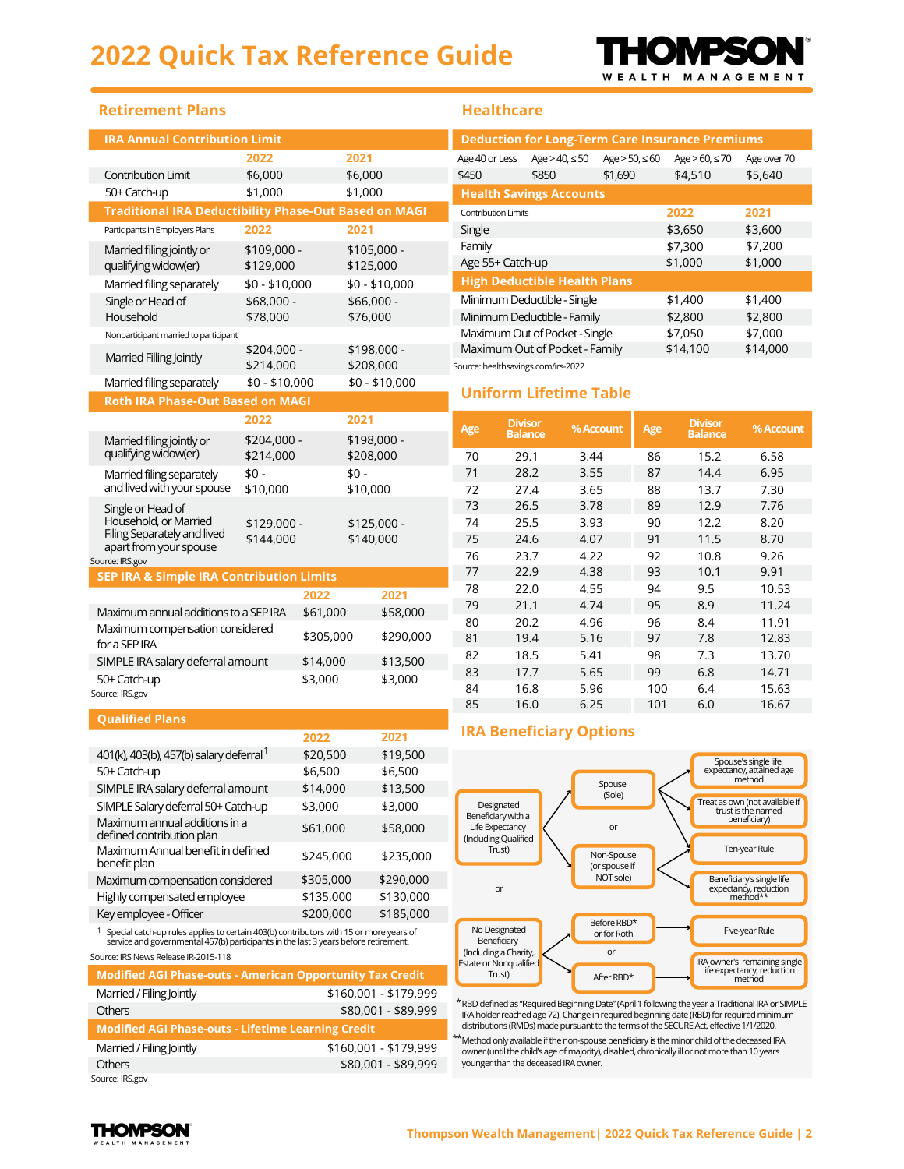# **2022 Quick Tax Reference Guide**



| <b>IRA Annual Contribution Limit</b>                                                                                          |                          |                        |                          |                |
|-------------------------------------------------------------------------------------------------------------------------------|--------------------------|------------------------|--------------------------|----------------|
|                                                                                                                               | 2022                     |                        | 2021                     |                |
| <b>Contribution Limit</b>                                                                                                     | \$6,000                  |                        | \$6,000                  |                |
| 50+ Catch-up                                                                                                                  | \$1,000                  |                        | \$1,000                  |                |
| <b>Traditional IRA Deductibility Phase-Out Based on MAGI</b>                                                                  |                          |                        |                          |                |
| Participants in Employers Plans                                                                                               | 2022                     |                        | 2021                     |                |
| Married filing jointly or<br>qualifying widow(er)                                                                             | \$109,000 -<br>\$129,000 |                        | \$105,000 -<br>\$125,000 |                |
| Married filing separately                                                                                                     | $$0 - $10,000$           |                        |                          | $$0 - $10,000$ |
| Single or Head of<br>Household                                                                                                | \$68,000 -<br>\$78,000   | \$66,000 -<br>\$76,000 |                          |                |
| Nonparticipant married to participant                                                                                         |                          |                        |                          |                |
| Married Filling Jointly                                                                                                       | \$204,000 -<br>\$214,000 |                        | \$198,000 -<br>\$208,000 |                |
| Married filing separately                                                                                                     | $$0 - $10,000$           |                        |                          | \$0 - \$10,000 |
| Roth IRA Phase-Out Based on MAGI                                                                                              |                          |                        |                          |                |
|                                                                                                                               | 2022                     |                        | 2021                     |                |
| Married filing jointly or<br>qualifying widow(er)                                                                             | \$204,000 -<br>\$214,000 |                        | \$198,000 -<br>\$208,000 |                |
| Married filing separately<br>and lived with your spouse                                                                       | \$0 -<br>\$10,000        |                        | \$0 -<br>\$10,000        |                |
| Single or Head of<br>Household, or Married<br>Filing Separately and lived<br>apart from your spouse<br>Source: IRS.gov        | \$129,000 -<br>\$144,000 |                        | \$125,000 -<br>\$140,000 |                |
| <b>SEP IRA &amp; Simple IRA Contribution Limits</b>                                                                           |                          |                        |                          |                |
|                                                                                                                               |                          |                        |                          |                |
|                                                                                                                               |                          | 2022                   |                          | 2021           |
| Maximum annual additions to a SEP IRA                                                                                         |                          | \$61,000               |                          | \$58,000       |
| Maximum compensation considered<br>for a SEP IRA                                                                              |                          | \$305,000              |                          | \$290,000      |
| SIMPLE IRA salary deferral amount                                                                                             |                          | \$14,000               |                          | \$13,500       |
| 50+ Catch-up<br>Source: IRS.gov                                                                                               |                          | \$3,000                |                          | \$3,000        |
| <b>Qualified Plans</b>                                                                                                        |                          |                        |                          |                |
|                                                                                                                               |                          | 2022                   |                          | 2021           |
| 401(k), 403(b), 457(b) salary deferral <sup>1</sup>                                                                           |                          | \$20,500               |                          | \$19,500       |
| 50+ Catch-up                                                                                                                  |                          | \$6,500                |                          | \$6,500        |
| SIMPLE IRA salary deferral amount                                                                                             |                          | \$14,000               |                          | \$13,500       |
| SIMPLE Salary deferral 50+ Catch-up                                                                                           |                          | \$3,000                |                          | \$3,000        |
| Maximum annual additions in a<br>defined contribution plan                                                                    |                          | \$61,000               |                          | \$58,000       |
| Maximum Annual benefit in defined<br>benefit plan                                                                             |                          | \$245,000              |                          | \$235,000      |
| Maximum compensation considered                                                                                               |                          | \$305,000              |                          | \$290,000      |
| Highly compensated employee                                                                                                   |                          | \$135,000              |                          | \$130,000      |
| Key employee - Officer<br><sup>1</sup> Special catch-up rules applies to certain 403(b) contributors with 15 or more years of |                          | \$200,000              |                          | \$185,000      |

Source: IRS News Release IR-2015-118

| <b>Modified AGI Phase-outs - American Opportunity Tax Credit</b> |                       |
|------------------------------------------------------------------|-----------------------|
| Married / Filing Jointly                                         | \$160,001 - \$179,999 |
| <b>Others</b>                                                    | \$80,001 - \$89,999   |
| <b>Modified AGI Phase-outs - Lifetime Learning Credit</b>        |                       |
| Married / Filing Jointly                                         | \$160,001 - \$179,999 |
| <b>Others</b>                                                    | \$80,001 - \$89,999   |
| Source: IRS.gov                                                  |                       |

#### **Healthcare**

I

| <b>Deduction for Long-Term Care Insurance Premiums</b> |                                |                     |                        |             |  |  |  |  |
|--------------------------------------------------------|--------------------------------|---------------------|------------------------|-------------|--|--|--|--|
| Age 40 or Less                                         | Age $> 40$ , $\leq 50$         | Age $> 50, \leq 60$ | Age $> 60$ , $\leq 70$ | Age over 70 |  |  |  |  |
| \$450                                                  | \$850                          | \$1,690             | \$4,510                | \$5,640     |  |  |  |  |
| <b>Health Savings Accounts</b>                         |                                |                     |                        |             |  |  |  |  |
| <b>Contribution Limits</b>                             |                                | 2022<br>2021        |                        |             |  |  |  |  |
| Single                                                 |                                | \$3,650             | \$3,600                |             |  |  |  |  |
| Family                                                 |                                | \$7,300             | \$7,200                |             |  |  |  |  |
| Age 55+ Catch-up                                       |                                | \$1,000             | \$1,000                |             |  |  |  |  |
| <b>High Deductible Health Plans</b>                    |                                |                     |                        |             |  |  |  |  |
|                                                        | Minimum Deductible - Single    | \$1,400             | \$1,400                |             |  |  |  |  |
|                                                        | Minimum Deductible - Family    |                     | \$2,800                | \$2,800     |  |  |  |  |
|                                                        | Maximum Out of Pocket - Single |                     | \$7,050                | \$7,000     |  |  |  |  |
|                                                        | Maximum Out of Pocket - Family |                     | \$14,100               | \$14,000    |  |  |  |  |
|                                                        |                                |                     |                        |             |  |  |  |  |

Source: healthsavings.com/irs-2022

### **Uniform Lifetime Table**

| Age | <b>Divisor</b><br><b>Balance</b> | % Account | Age | <b>Divisor</b><br><b>Balance</b> | % Account |
|-----|----------------------------------|-----------|-----|----------------------------------|-----------|
| 70  | 29.1                             | 3.44      | 86  | 15.2                             | 6.58      |
| 71  | 28.2                             | 3.55      | 87  | 14.4                             | 6.95      |
| 72  | 27.4                             | 3.65      | 88  | 13.7                             | 7.30      |
| 73  | 26.5                             | 3.78      | 89  | 12.9                             | 7.76      |
| 74  | 25.5                             | 3.93      | 90  | 12.2                             | 8.20      |
| 75  | 24.6                             | 4.07      | 91  | 11.5                             | 8.70      |
| 76  | 23.7                             | 4.22      | 92  | 10.8                             | 9.26      |
| 77  | 22.9                             | 4.38      | 93  | 10.1                             | 9.91      |
| 78  | 22.0                             | 4.55      | 94  | 9.5                              | 10.53     |
| 79  | 21.1                             | 4.74      | 95  | 8.9                              | 11.24     |
| 80  | 20.2                             | 4.96      | 96  | 8.4                              | 11.91     |
| 81  | 19.4                             | 5.16      | 97  | 7.8                              | 12.83     |
| 82  | 18.5                             | 5.41      | 98  | 7.3                              | 13.70     |
| 83  | 17.7                             | 5.65      | 99  | 6.8                              | 14.71     |
| 84  | 16.8                             | 5.96      | 100 | 6.4                              | 15.63     |
| 85  | 16.0                             | 6.25      | 101 | 6.0                              | 16.67     |

### **IRA Beneficiary Options**



\* RBD defined as "Required Beginning Date" (April 1 following the year a Traditional IRA or SIMPLE IRA holder reached age 72). Change in required beginning date (RBD) for required minimum<br>distributions (RMDs) made pursuant to the terms of the SECURE Act, effective 1/1/2020.

\*\* Method only available if the non-spouse beneficiary is the minor child of the deceased IRA owner (until the child's age of majority), disabled, chronically ill or not more than 10 years younger than the deceased IRA owner.